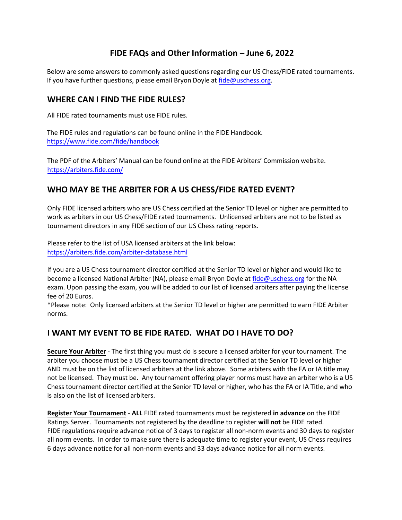# **FIDE FAQs and Other Information – June 6, 2022**

Below are some answers to commonly asked questions regarding our US Chess/FIDE rated tournaments. If you have further questions, please email Bryon Doyle at [fide@uschess.org.](mailto:fide@uschess.org)

## **WHERE CAN I FIND THE FIDE RULES?**

All FIDE rated tournaments must use FIDE rules.

The FIDE rules and regulations can be found online in the FIDE Handbook. <https://www.fide.com/fide/handbook>

The PDF of the Arbiters' Manual can be found online at the FIDE Arbiters' Commission website. <https://arbiters.fide.com/>

# **WHO MAY BE THE ARBITER FOR A US CHESS/FIDE RATED EVENT?**

Only FIDE licensed arbiters who are US Chess certified at the Senior TD level or higher are permitted to work as arbiters in our US Chess/FIDE rated tournaments. Unlicensed arbiters are not to be listed as tournament directors in any FIDE section of our US Chess rating reports.

Please refer to the list of USA licensed arbiters at the link below: <https://arbiters.fide.com/arbiter-database.html>

If you are a US Chess tournament director certified at the Senior TD level or higher and would like to become a licensed National Arbiter (NA), please email Bryon Doyle at [fide@uschess.org](mailto:fide@uschess.org) for the NA exam. Upon passing the exam, you will be added to our list of licensed arbiters after paying the license fee of 20 Euros.

\*Please note: Only licensed arbiters at the Senior TD level or higher are permitted to earn FIDE Arbiter norms.

# **I WANT MY EVENT TO BE FIDE RATED. WHAT DO I HAVE TO DO?**

**Secure Your Arbiter** - The first thing you must do is secure a licensed arbiter for your tournament. The arbiter you choose must be a US Chess tournament director certified at the Senior TD level or higher AND must be on the list of licensed arbiters at the link above. Some arbiters with the FA or IA title may not be licensed. They must be. Any tournament offering player norms must have an arbiter who is a US Chess tournament director certified at the Senior TD level or higher, who has the FA or IA Title, and who is also on the list of licensed arbiters.

**Register Your Tournament** - **ALL** FIDE rated tournaments must be registered **in advance** on the FIDE Ratings Server. Tournaments not registered by the deadline to register **will not** be FIDE rated. FIDE regulations require advance notice of 3 days to register all non-norm events and 30 days to register all norm events. In order to make sure there is adequate time to register your event, US Chess requires 6 days advance notice for all non-norm events and 33 days advance notice for all norm events.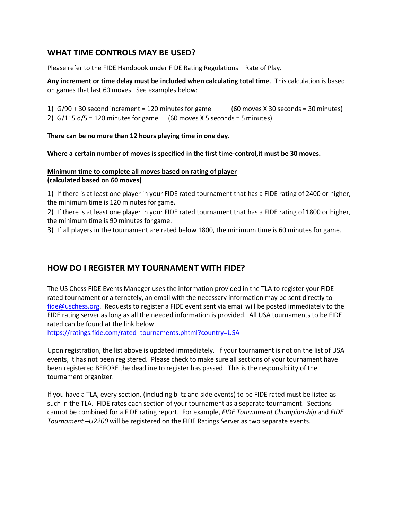# **WHAT TIME CONTROLS MAY BE USED?**

Please refer to the FIDE Handbook under FIDE Rating Regulations – Rate of Play.

**Any increment or time delay must be included when calculating total time**. This calculation is based on games that last 60 moves. See examples below:

1)  $G/90 + 30$  second increment = 120 minutes for game (60 moves X 30 seconds = 30 minutes) 2)  $G/115 d/5 = 120$  minutes for game (60 moves X 5 seconds = 5 minutes)

**There can be no more than 12 hours playing time in one day.** 

**Where a certain number of moves is specified in the first time-control,it must be 30 moves.** 

#### **Minimum time to complete all moves based on rating of player (calculated based on 60 moves)**

1) If there is at least one player in your FIDE rated tournament that has a FIDE rating of 2400 or higher, the minimum time is 120 minutes for game.

2) If there is at least one player in your FIDE rated tournament that has a FIDE rating of 1800 or higher, the minimum time is 90 minutes for game.

3) If all players in the tournament are rated below 1800, the minimum time is 60 minutes for game.

# **HOW DO I REGISTER MY TOURNAMENT WITH FIDE?**

The US Chess FIDE Events Manager uses the information provided in the TLA to register your FIDE rated tournament or alternately, an email with the necessary information may be sent directly to fide@uschess.org. Requests to register a FIDE event sent via email will be posted immediately to the FIDE rating server as long as all the needed information is provided. All USA tournaments to be FIDE rated can be found at the link below.

https://ratings.fide.com/rated\_tournaments.phtml?country=USA

Upon registration, the list above is updated immediately. If your tournament is not on the list of USA [events, it has not been registered. Please check to make sure all s](https://ratings.fide.com/rated_tournaments.phtml?country=USA)ections of your tournament have been registered BEFORE the deadline to register has passed. This is the responsibility of the tournament organizer.

If you have a TLA, every section, (including blitz and side events) to be FIDE rated must be listed as such in the TLA. FIDE rates each section of your tournament as a separate tournament. Sections cannot be combined for a FIDE rating report. For example, *FIDE Tournament Championship* and *FIDE Tournament –U2200* will be registered on the FIDE Ratings Server as two separate events.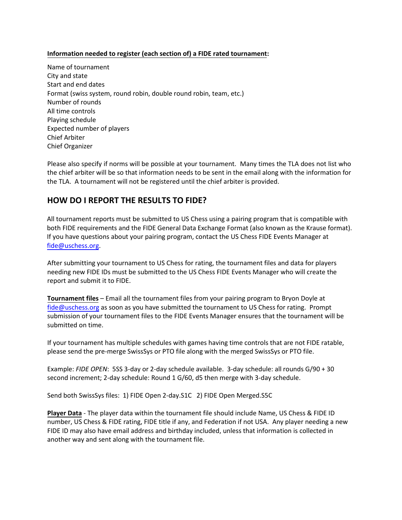#### **Information needed to register (each section of) a FIDE rated tournament:**

Name of tournament City and state Start and end dates Format (swiss system, round robin, double round robin, team, etc.) Number of rounds All time controls Playing schedule Expected number of players Chief Arbiter Chief Organizer

Please also specify if norms will be possible at your tournament. Many times the TLA does not list who the chief arbiter will be so that information needs to be sent in the email along with the information for the TLA. A tournament will not be registered until the chief arbiter is provided.

# **HOW DO I REPORT THE RESULTS TO FIDE?**

All tournament reports must be submitted to US Chess using a pairing program that is compatible with both FIDE requirements and the FIDE General Data Exchange Format (also known as the Krause format). If you have questions about your pairing program, contact the US Chess FIDE Events Manager at [fide@uschess.org.](mailto:fide@uschess.org)

After submitting your tournament to US Chess for rating, the tournament files and data for players needing new FIDE IDs must be submitted to the US Chess FIDE Events Manager who will create the report and submit it to FIDE.

**Tournament files** – Email all the tournament files from your pairing program to Bryon Doyle at [fide@uschess.org](mailto:fide@uschess.org) as soon as you have submitted the tournament to US Chess for rating. Prompt submission of your tournament files to the FIDE Events Manager ensures that the tournament will be submitted on time.

If your tournament has multiple schedules with games having time controls that are not FIDE ratable, please send the pre-merge SwissSys or PTO file along with the merged SwissSys or PTO file.

Example: *FIDE OPEN*: 5SS 3-day or 2-day schedule available. 3-day schedule: all rounds G/90 + 30 second increment; 2-day schedule: Round 1 G/60, d5 then merge with 3-day schedule.

Send both SwissSys files: 1) FIDE Open 2-day.S1C 2) FIDE Open Merged.S5C

**Player Data** - The player data within the tournament file should include Name, US Chess & FIDE ID number, US Chess & FIDE rating, FIDE title if any, and Federation if not USA. Any player needing a new FIDE ID may also have email address and birthday included, unless that information is collected in another way and sent along with the tournament file.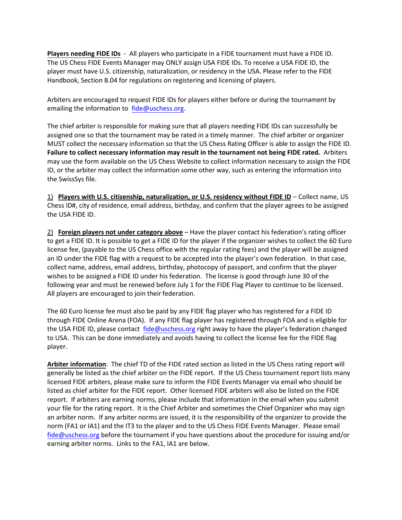**Players needing FIDE IDs** - All players who participate in a FIDE tournament must have a FIDE ID. The US Chess FIDE Events Manager may ONLY assign USA FIDE IDs. To receive a USA FIDE ID, the player must have U.S. citizenship, naturalization, or residency in the USA. Please refer to the FIDE Handbook, Section B.04 for regulations on registering and licensing of players.

Arbiters are encouraged to request FIDE IDs for players either before or during the tournament by emailing the information to [fide@uschess.org.](mailto:fide@uschess.org)

The chief arbiter is responsible for making sure that all players needing FIDE IDs can successfully be assigned one so that the tournament may be rated in a timely manner. The chief arbiter or organizer MUST collect the necessary information so that the US Chess Rating Officer is able to assign the FIDE ID. **Failure to collect necessary information may result in the tournament not being FIDE rated.** Arbiters may use the form available on the US Chess Website to collect information necessary to assign the FIDE ID, or the arbiter may collect the information some other way, such as entering the information into the SwissSys file.

1) **Players with U.S. citizenship, naturalization, or U.S. residency without FIDE ID** – Collect name, US Chess ID#, city of residence, email address, birthday, and confirm that the player agrees to be assigned the USA FIDE ID.

2) **Foreign players not under category above** – Have the player contact his federation's rating officer to get a FIDE ID. It is possible to get a FIDE ID for the player if the organizer wishes to collect the 60 Euro license fee, (payable to the US Chess office with the regular rating fees) and the player will be assigned an ID under the FIDE flag with a request to be accepted into the player's own federation. In that case, collect name, address, email address, birthday, photocopy of passport, and confirm that the player wishes to be assigned a FIDE ID under his federation. The license is good through June 30 of the following year and must be renewed before July 1 for the FIDE Flag Player to continue to be licensed. All players are encouraged to join their federation.

The 60 Euro license fee must also be paid by any FIDE flag player who has registered for a FIDE ID through FIDE Online Arena (FOA). If any FIDE flag player has registered through FOA and is eligible for the USA FIDE ID, please contact [fide@uschess.org](mailto:fide@uschess.org) right away to have the player's federation changed to USA. This can be done immediately and avoids having to collect the license fee for the FIDE flag player.

**Arbiter information**: The chief TD of the FIDE rated section as listed in the US Chess rating report will generally be listed as the chief arbiter on the FIDE report. If the US Chess tournament report lists many licensed FIDE arbiters, please make sure to inform the FIDE Events Manager via email who should be listed as chief arbiter for the FIDE report. Other licensed FIDE arbiters will also be listed on the FIDE report. If arbiters are earning norms, please include that information in the email when you submit your file for the rating report. It is the Chief Arbiter and sometimes the Chief Organizer who may sign an arbiter norm. If any arbiter norms are issued, it is the responsibility of the organizer to provide the norm (FA1 or IA1) and the IT3 to the player and to the US Chess FIDE Events Manager. Please email [fide@uschess.org](mailto:fide@uschess.org) before the tournament if you have questions about the procedure for issuing and/or earning arbiter norms. Links to the FA1, IA1 are below.